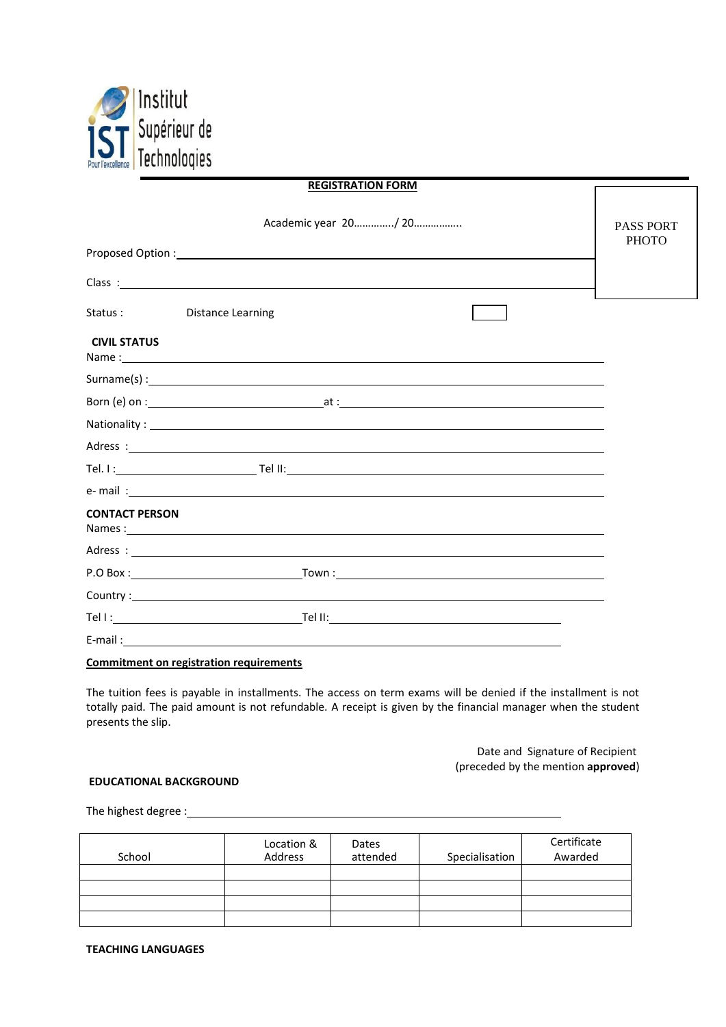

| <b>REGISTRATION FORM</b> |                                                                                                                                                                                                                                                                                                       |                  |
|--------------------------|-------------------------------------------------------------------------------------------------------------------------------------------------------------------------------------------------------------------------------------------------------------------------------------------------------|------------------|
|                          | Academic year 20/ 20                                                                                                                                                                                                                                                                                  | <b>PASS PORT</b> |
|                          | Proposed Option : New York Contract to the Contract of Contract Contract Contract Contract Contract Contract Contract Contract Contract Contract Contract Contract Contract Contract Contract Contract Contract Contract Contr                                                                        | <b>PHOTO</b>     |
|                          | Class: <u>contract and contract and contract and contract and contract and contract and contract and contract and contract and contract and contract and contract and contract and contract and contract and contract and contra</u>                                                                  |                  |
| Status:                  | <b>Distance Learning</b>                                                                                                                                                                                                                                                                              |                  |
| <b>CIVIL STATUS</b>      | Name: 1. 2008. The contract of the contract of the contract of the contract of the contract of the contract of the contract of the contract of the contract of the contract of the contract of the contract of the contract of                                                                        |                  |
|                          | Surname(s) : $\frac{1}{2}$ . $\frac{1}{2}$ . $\frac{1}{2}$ . $\frac{1}{2}$ . $\frac{1}{2}$ . $\frac{1}{2}$ . $\frac{1}{2}$ . $\frac{1}{2}$ . $\frac{1}{2}$ . $\frac{1}{2}$ . $\frac{1}{2}$ . $\frac{1}{2}$ . $\frac{1}{2}$ . $\frac{1}{2}$ . $\frac{1}{2}$ . $\frac{1}{2}$ . $\frac{1}{2}$ . $\frac{$ |                  |
|                          |                                                                                                                                                                                                                                                                                                       |                  |
|                          |                                                                                                                                                                                                                                                                                                       |                  |
|                          | Adress: <u>New York: Adress: New York: New York: New York: New York: New York: New York: New York: New York: New York: New York: New York: New York: New York: New York: New York: New York: New York: New York: New York: New Y</u>                                                                  |                  |
|                          |                                                                                                                                                                                                                                                                                                       |                  |
|                          | e- mail: state and the contract of the contract of the contract of the contract of the contract of the contract of the contract of the contract of the contract of the contract of the contract of the contract of the contrac                                                                        |                  |
| <b>CONTACT PERSON</b>    |                                                                                                                                                                                                                                                                                                       |                  |
|                          |                                                                                                                                                                                                                                                                                                       |                  |
|                          |                                                                                                                                                                                                                                                                                                       |                  |
|                          | Country: New York Country: New York Country: New York Country: New York Country: New York Country: New York Country: New York Country: New York Country: New York Country: New York Country: New York Country: New York Countr                                                                        |                  |
|                          |                                                                                                                                                                                                                                                                                                       |                  |
|                          |                                                                                                                                                                                                                                                                                                       |                  |
|                          |                                                                                                                                                                                                                                                                                                       |                  |

### **Commitment on registration requirements**

The tuition fees is payable in installments. The access on term exams will be denied if the installment is not totally paid. The paid amount is not refundable. A receipt is given by the financial manager when the student presents the slip.

> Date and Signature of Recipient (preceded by the mention **approved**)

#### **EDUCATIONAL BACKGROUND**

The highest degree :

| School | Location &<br>Address | Dates<br>attended | Specialisation | Certificate<br>Awarded |
|--------|-----------------------|-------------------|----------------|------------------------|
|        |                       |                   |                |                        |
|        |                       |                   |                |                        |
|        |                       |                   |                |                        |
|        |                       |                   |                |                        |

**TEACHING LANGUAGES**